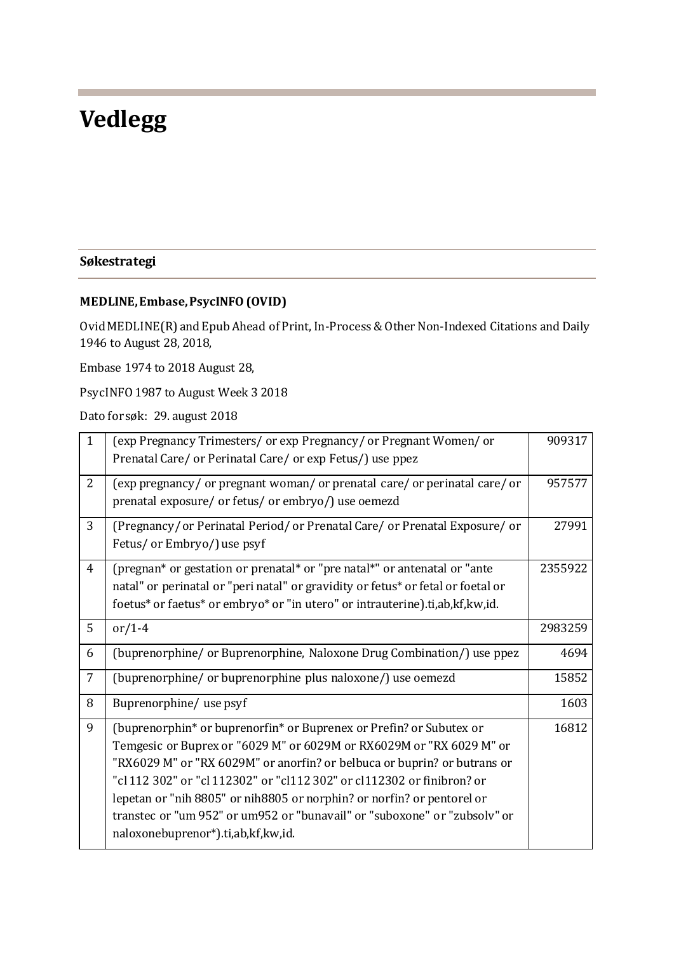## **Vedlegg**

## **Søkestrategi**

## **MEDLINE, Embase, PsycINFO (OVID)**

Ovid MEDLINE(R) and Epub Ahead of Print, In-Process & Other Non-Indexed Citations and Daily 1946 to August 28, 2018,

Embase 1974 to 2018 August 28,

PsycINFO 1987 to August Week 3 2018

Dato for søk: 29. august 2018

| $\mathbf{1}$ | (exp Pregnancy Trimesters/ or exp Pregnancy/ or Pregnant Women/ or               | 909317  |
|--------------|----------------------------------------------------------------------------------|---------|
|              | Prenatal Care/ or Perinatal Care/ or exp Fetus/) use ppez                        |         |
| 2            | (exp pregnancy/ or pregnant woman/ or prenatal care/ or perinatal care/ or       | 957577  |
|              | prenatal exposure/ or fetus/ or embryo/) use oemezd                              |         |
| 3            | (Pregnancy/or Perinatal Period/or Prenatal Care/or Prenatal Exposure/or          | 27991   |
|              | Fetus/ or Embryo/) use psyf                                                      |         |
| 4            | (pregnan* or gestation or prenatal* or "pre natal*" or antenatal or "ante        | 2355922 |
|              | natal" or perinatal or "peri natal" or gravidity or fetus* or fetal or foetal or |         |
|              | foetus* or faetus* or embryo* or "in utero" or intrauterine).ti,ab,kf,kw,id.     |         |
| 5            | or/1-4                                                                           | 2983259 |
| 6            | (buprenorphine/ or Buprenorphine, Naloxone Drug Combination/) use ppez           | 4694    |
| 7            | (buprenorphine/ or buprenorphine plus naloxone/) use oemezd                      | 15852   |
| 8            | Buprenorphine/ use psyf                                                          | 1603    |
| 9            | (buprenorphin* or buprenorfin* or Buprenex or Prefin? or Subutex or              | 16812   |
|              | Temgesic or Buprex or "6029 M" or 6029M or RX6029M or "RX 6029 M" or             |         |
|              | "RX6029 M" or "RX 6029M" or anorfin? or belbuca or buprin? or butrans or         |         |
|              | "cl 112 302" or "cl 112302" or "cl112 302" or cl112302 or finibron? or           |         |
|              | lepetan or "nih 8805" or nih 8805 or norphin? or norfin? or pentorel or          |         |
|              | transtec or "um 952" or um 952 or "bunavail" or "suboxone" or "zubsolv" or       |         |
|              | naloxonebuprenor*).ti,ab,kf,kw,id.                                               |         |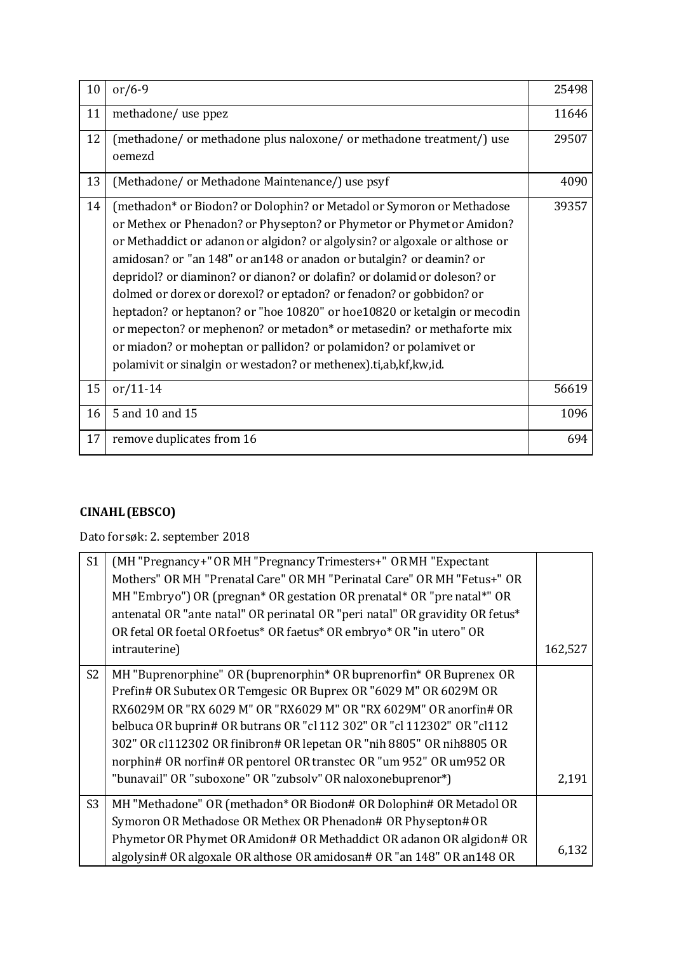| 10 | $or/6-9$                                                                                                                                                                                                                                                                                                                                                                                                                                                                                                                                                                                                                                                                                                                                            | 25498 |
|----|-----------------------------------------------------------------------------------------------------------------------------------------------------------------------------------------------------------------------------------------------------------------------------------------------------------------------------------------------------------------------------------------------------------------------------------------------------------------------------------------------------------------------------------------------------------------------------------------------------------------------------------------------------------------------------------------------------------------------------------------------------|-------|
| 11 | methadone/ use ppez                                                                                                                                                                                                                                                                                                                                                                                                                                                                                                                                                                                                                                                                                                                                 | 11646 |
| 12 | (methadone/ or methadone plus naloxone/ or methadone treatment/) use<br>oemezd                                                                                                                                                                                                                                                                                                                                                                                                                                                                                                                                                                                                                                                                      | 29507 |
| 13 | (Methadone/ or Methadone Maintenance/) use psyf                                                                                                                                                                                                                                                                                                                                                                                                                                                                                                                                                                                                                                                                                                     | 4090  |
| 14 | (methadon* or Biodon? or Dolophin? or Metadol or Symoron or Methadose<br>or Methex or Phenadon? or Physepton? or Phymetor or Phymetor Amidon?<br>or Methaddict or adanon or algidon? or algolysin? or algoxale or althose or<br>amidosan? or "an 148" or an148 or anadon or butalgin? or deamin? or<br>depridol? or diaminon? or dianon? or dolafin? or dolamid or doleson? or<br>dolmed or dorex or dorexol? or eptadon? or fenadon? or gobbidon? or<br>heptadon? or heptanon? or "hoe 10820" or hoe 10820 or ketalgin or mecodin<br>or mepecton? or mephenon? or metadon* or metasedin? or methaforte mix<br>or miadon? or moheptan or pallidon? or polamidon? or polamivet or<br>polamivit or sinalgin or westadon? or methenex).ti,ab,kf,kw,id. | 39357 |
| 15 | $or/11-14$                                                                                                                                                                                                                                                                                                                                                                                                                                                                                                                                                                                                                                                                                                                                          | 56619 |
| 16 | 5 and 10 and 15                                                                                                                                                                                                                                                                                                                                                                                                                                                                                                                                                                                                                                                                                                                                     | 1096  |
| 17 | remove duplicates from 16                                                                                                                                                                                                                                                                                                                                                                                                                                                                                                                                                                                                                                                                                                                           | 694   |

## **CINAHL (EBSCO)**

Dato for søk: 2. september 2018

| S <sub>1</sub> | (MH "Pregnancy+" OR MH "Pregnancy Trimesters+" OR MH "Expectant               |         |
|----------------|-------------------------------------------------------------------------------|---------|
|                | Mothers" OR MH "Prenatal Care" OR MH "Perinatal Care" OR MH "Fetus+" OR       |         |
|                | MH "Embryo") OR (pregnan* OR gestation OR prenatal* OR "pre natal*" OR        |         |
|                | antenatal OR "ante natal" OR perinatal OR "peri natal" OR gravidity OR fetus* |         |
|                | OR fetal OR foetal OR foetus* OR faetus* OR embryo* OR "in utero" OR          |         |
|                | intrauterine)                                                                 | 162,527 |
| S <sub>2</sub> | MH "Buprenorphine" OR (buprenorphin* OR buprenorfin* OR Buprenex OR           |         |
|                | Prefin# OR Subutex OR Temgesic OR Buprex OR "6029 M" OR 6029M OR              |         |
|                | RX6029M OR "RX 6029 M" OR "RX6029 M" OR "RX 6029M" OR anorfin# OR             |         |
|                | belbuca OR buprin# OR butrans OR "cl 112 302" OR "cl 112302" OR "cl 112       |         |
|                | 302" OR cl112302 OR finibron# OR lepetan OR "nih 8805" OR nih 8805 OR         |         |
|                | norphin# OR norfin# OR pentorel OR transtec OR "um 952" OR um 952 OR          |         |
|                | "bunavail" OR "suboxone" OR "zubsolv" OR naloxonebuprenor*)                   | 2,191   |
| S <sub>3</sub> | MH "Methadone" OR (methadon* OR Biodon# OR Dolophin# OR Metadol OR            |         |
|                | Symoron OR Methadose OR Methex OR Phenadon# OR Physepton# OR                  |         |
|                | Phymetor OR Phymet OR Amidon# OR Methaddict OR adanon OR algidon# OR          |         |
|                | algolysin# OR algoxale OR althose OR amidosan# OR "an 148" OR an 148 OR       | 6,132   |